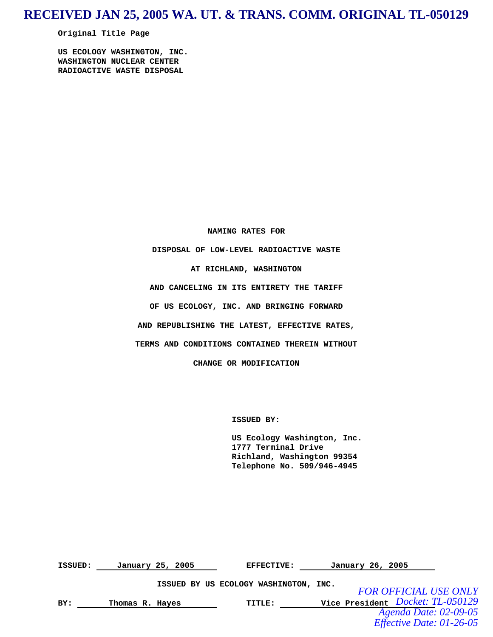# **RECEIVED JAN 25, 2005 WA. UT. & TRANS. COMM. ORIGINAL TL-050129**

**Original Title Page** 

**US ECOLOGY WASHINGTON, INC. WASHINGTON NUCLEAR CENTER RADIOACTIVE WASTE DISPOSAL** 

**NAMING RATES FOR** 

**DISPOSAL OF LOW-LEVEL RADIOACTIVE WASTE** 

**AT RICHLAND, WASHINGTON** 

**AND CANCELING IN ITS ENTIRETY THE TARIFF** 

**OF US ECOLOGY, INC. AND BRINGING FORWARD** 

**AND REPUBLISHING THE LATEST, EFFECTIVE RATES,** 

**TERMS AND CONDITIONS CONTAINED THEREIN WITHOUT** 

**CHANGE OR MODIFICATION** 

 **ISSUED BY:** 

 **US Ecology Washington, Inc. 1777 Terminal Drive Richland, Washington 99354 Telephone No. 509/946-4945**

| ISSUED: |                 | January 25, 2005 | <b>EFFECTIVE:</b>                     | January 26, 2005                 |
|---------|-----------------|------------------|---------------------------------------|----------------------------------|
|         |                 |                  | ISSUED BY US ECOLOGY WASHINGTON, INC. | <b>FOR OFFICIAL USE ONLY</b>     |
| BY:     | Thomas R. Hayes |                  | TITLE:                                | Vice President Docket: TL-050129 |
|         |                 |                  |                                       | Agenda Date: 02-09-05            |
|         |                 |                  |                                       | <i>Effective Date: 01-26-05</i>  |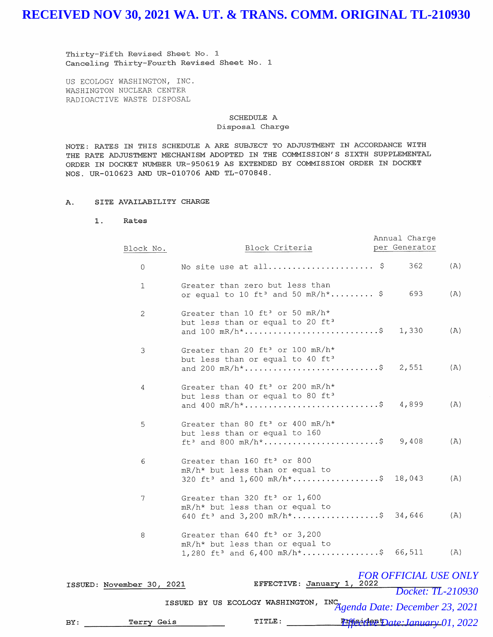Thirty-Fifth Revised Sheet No. 1 Canceling Thirty-Fourth Revised Sheet No. 1

US ECOLOGY WASHINGTON, INC. WASHINGTON NUCLEAR CENTER RADIOACTIVE WASTE DISPOSAL

### SCHEDULE A Disposal Charge

NOTE: RATES IN THIS SCHEDULE A ARE SUBJECT TO ADJUSTMENT IN ACCORDANCE WITH THE RATE ADJUSTMENT MECHANISM ADOPTED IN THE COMMISSION'S SIXTH SUPPLEMENTAL ORDER IN DOCKET NUMBER UR-950619 AS EXTENDED BY COMMISSION ORDER IN DOCKET NOS. UR-010623 AND UR-010706 AND TL-070848.

### A. SITE AVAILABILITY CHARGE

**1. Rates** 

| Block No.                 | Block Criteria                                                                                                                            | Annual Charge<br>per Generator |     |
|---------------------------|-------------------------------------------------------------------------------------------------------------------------------------------|--------------------------------|-----|
| $\mathbf{0}$              | No site use at all \$                                                                                                                     | 362                            | (A) |
| 1                         | Greater than zero but less than<br>or equal to 10 ft <sup>3</sup> and 50 mR/h <sup>*</sup> \$                                             | 693                            | (A) |
| 2                         | Greater than 10 ft <sup>3</sup> or 50 mR/h*<br>but less than or equal to 20 ft <sup>3</sup><br>and $100$ mR/h <sup>*</sup> \$             | 1,330                          | (A) |
| 3                         | Greater than 20 ft <sup>3</sup> or 100 mR/h*<br>but less than or equal to 40 ft <sup>3</sup><br>and 200 mR/h <sup>*</sup> \$              | 2,551                          | (A) |
| 4                         | Greater than 40 ft <sup>3</sup> or 200 mR/h*<br>but less than or equal to 80 ft <sup>3</sup><br>and 400 mR/h <sup>*</sup> \$              | 4,899                          | (A) |
| 5                         | Greater than 80 ft <sup>3</sup> or 400 mR/h <sup>*</sup><br>but less than or equal to 160<br>$ft^3$ and 800 mR/h <sup>*</sup> \$          | 9,408                          | (A) |
| 6                         | Greater than 160 ft <sup>3</sup> or 800<br>mR/h* but less than or equal to<br>320 ft <sup>3</sup> and 1,600 mR/h <sup>*</sup> \$ 18,043   |                                | (A) |
| 7                         | Greater than 320 ft <sup>3</sup> or 1,600<br>mR/h* but less than or equal to<br>640 ft <sup>3</sup> and 3,200 mR/h <sup>*</sup> \$ 34,646 |                                | (A) |
| 8                         | Greater than 640 ft <sup>3</sup> or 3,200<br>mR/h* but less than or equal to<br>1,280 ft <sup>3</sup> and $6,400$ mR/h <sup>*</sup> \$    | 66,511                         | (A) |
| ISSUED: November 30, 2021 | EFFECTIVE: January 1, 2022                                                                                                                | <b>FOR OFFICIAL USE ONLY</b>   |     |
|                           |                                                                                                                                           | Docket: TL-210930              |     |
|                           | ISSUED BY US ECOLOGY WASHINGTON,<br>INC.<br>Agenda Date: December 23, 2021                                                                |                                |     |

| вY | Terrv Geis | TITLE: |  | <b>Effect the Date: January 01, 2022</b> |
|----|------------|--------|--|------------------------------------------|
|----|------------|--------|--|------------------------------------------|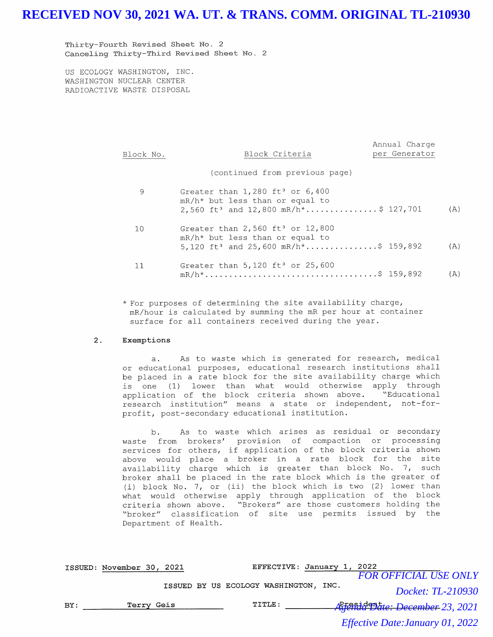Thirty-Fourth Revised Sheet No. 2 Canceling Thirty-Third Revised Sheet No. 2

US ECOLOGY WASHINGTON, INC. WASHINGTON NUCLEAR CENTER RADIOACTIVE WASTE DISPOSAL

| Block No. | Block Criteria                                                                                                                                         | per Generator |     |
|-----------|--------------------------------------------------------------------------------------------------------------------------------------------------------|---------------|-----|
|           | (continued from previous page)                                                                                                                         |               |     |
| 9         | Greater than $1,280$ ft <sup>3</sup> or $6,400$<br>$mR/h*$ but less than or equal to<br>2,560 ft <sup>3</sup> and 12,800 mR/h*\$ 127,701               |               | (A) |
| 10        | Greater than $2,560$ ft <sup>3</sup> or $12,800$<br>$mR/h*$ but less than or equal to<br>5,120 ft <sup>3</sup> and 25,600 mR/h <sup>*</sup> \$ 159,892 |               | (A) |
| 11        | Greater than $5,120$ ft <sup>3</sup> or $25,600$                                                                                                       |               | (A) |

Annual Charge

\* For purposes of determining the site availability charge, mR/hour is calculated by summing the mR per hour at container surface for all containers received during the year.

### **2. Exemptions**

a. As to waste which is generated for research, medical or educational purposes, educational research institutions shall be placed in a rate block for the site availability charge which is one (1) lower than what would otherwise apply through application of the block criteria shown above. "Educational research institution" means a state or independent, not-forprofit, post-secondary educational institution.

b. As to waste which arises as residual or secondary waste from brokers' provision of compaction or processing services for others, if application of the block criteria shown above would place a broker in a rate block for the site availability charge which is greater than block No. 7, such broker shall be placed in the rate block which is the greater of (i) block No. 7, or (ii) the block which is two (2) lower than what would otherwise apply through application of the block criteria shown above. "Brokers" are those customers holding the "broker" classification of site use permits issued by the Department of Health.

|     | ISSUED: November 30, 2021 |  | EFFECTIVE: January 1, 2022            |                                  |
|-----|---------------------------|--|---------------------------------------|----------------------------------|
|     |                           |  |                                       | <b>FOR OFFICIAL USE ONLY</b>     |
|     |                           |  | ISSUED BY US ECOLOGY WASHINGTON, INC. | Docket: TL-210930                |
| BY: | Terry Geis                |  | TITLE:                                | -Agenda Date: December 23, 2021  |
|     |                           |  |                                       | Effective Date: January 01, 2022 |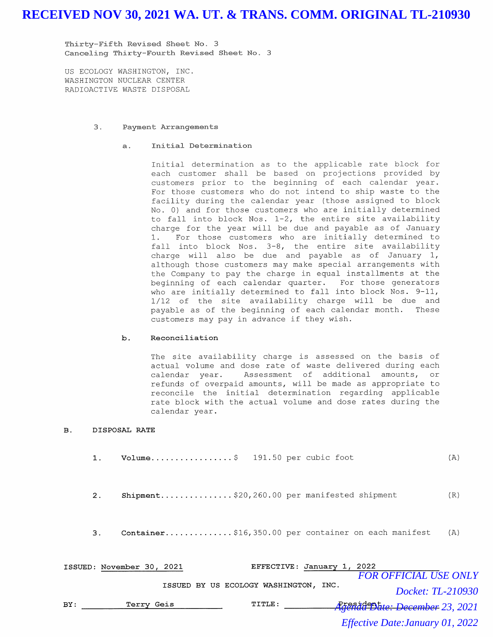Thirty-Fifth Revised Sheet No. 3 Canceling Thirty-Fourth Revised Sheet No. 3

US ECOLOGY WASHINGTON, INC. WASHINGTON NUCLEAR CENTER RADIOACTIVE WASTE DISPOSAL

### 3. Payment Arrangements

### a. Initial Determination

Initial determination as to the applicable rate block for each customer shall be based on projections provided by customers prior to the beginning of each calendar year. For those customers who do not intend to ship waste to the facility during the calendar year (those assigned to block No. 0) and for those customers who are initially determined to fall into block Nos. 1-2, the entire site availability charge for the year . will be due and payable as of January 1. For those customers who are initially determined to fall into block Nos. 3-8, the entire site availability charge will also be due and payable as of January 1, although those customers may make special arrangements with the Company to pay the charge in equal installments at the beginning of each calendar quarter. For those generators who are initially determined to fall into block Nos. 9-11, 1/12 of the site availability charge will be due and payable as of the beginning of each calendar month. These customers may pay in advance if they wish.

### **b. Reconciliation**

The site availability charge is assessed on the basis of actual volume and dose rate of waste delivered during each calendar year. Assessment of additional amounts, or refunds of overpaid amounts, will be made as appropriate to reconcile the initial determination regarding applicable rate block with the actual volume and dose rates during the calendar year.

### **B. DISPOSAL RATE**

- **1. Volume ................. \$** 191.50 per cubic foot  $(A)$
- **2. Shipment ...............** \$20,260.00 per manifested shipment (R)
- **3. Container...............**\$16,350.00 per container on each manifest (A)

|     | ISSUED: November 30, 2021 | EFFECTIVE: January 1, 2022            |                                             |
|-----|---------------------------|---------------------------------------|---------------------------------------------|
|     |                           |                                       | <b>FOR OFFICIAL USE ONLY</b>                |
|     |                           | ISSUED BY US ECOLOGY WASHINGTON, INC. | Docket: TL-210930                           |
| BY: | Terry Geis                | TITLE:                                | President<br>Reenda Date: December 23, 2021 |
|     |                           |                                       | <i>Effective Date: January 01, 2022</i>     |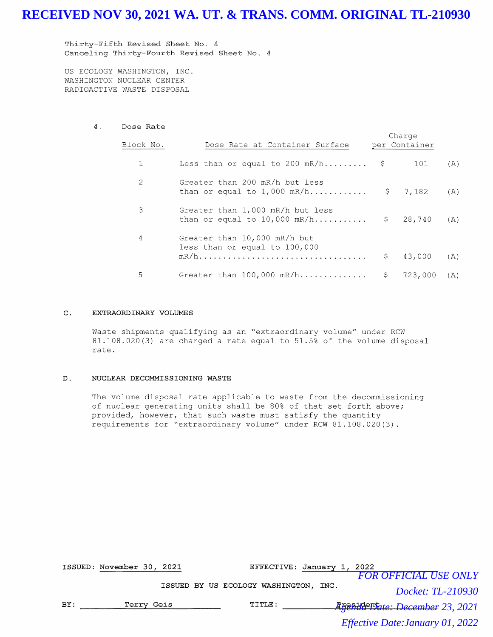Thirty-Fifth Revised Sheet No. 4 Canceling Thirty-Fourth Revised Sheet No. 4

US ECOLOGY WASHINGTON, INC. WASHINGTON NUCLEAR CENTER RADIOACTIVE WASTE DISPOSAL

### 4. Dose Rate

| Block No. | Dose Rate at Container Surface                                     |     | Charge<br>per Container |     |
|-----------|--------------------------------------------------------------------|-----|-------------------------|-----|
|           | Less than or equal to 200 mR/h $\frac{1}{2}$                       |     | 101                     | (A) |
| 2         | Greater than 200 mR/h but less<br>than or equal to $1,000$ mR/h    |     | \$7,182                 | (A) |
| 3         | Greater than 1,000 mR/h but less<br>than or equal to $10,000$ mR/h |     | \$28,740                | (A) |
| 4         | Greater than 10,000 mR/h but<br>less than or equal to 100,000      | \$. | 43,000                  | (A) |
| 5         | Greater than $100,000$ mR/h                                        |     | $\mathsf{S}$<br>723,000 | (A) |

#### **C. EXTRAORDINARY VOLUMES**

Waste shipments qualifying as an "extraordinary volume" under RCW 81.108.020(3) are charged a rate equal to 51.5% of the volume disposal rate.

### **D. NUCLEAR DECOMMISSIONING WASTE**

The volume disposal rate applicable to waste from the decommissioning of nuclear generating units shall be 80% of that set forth above; provided, however, that such waste must satisfy the quantity requirements for "extraordinary volume" under RCW 81.108.020(3).

|     | ISSUED: November 30, 2021 |  | EFFECTIVE: January 1,                 | 2022 |                                         |
|-----|---------------------------|--|---------------------------------------|------|-----------------------------------------|
|     |                           |  |                                       |      | <b>FOR OFFICIAL USE ONLY</b>            |
|     |                           |  | ISSUED BY US ECOLOGY WASHINGTON, INC. |      | Docket: TL-210930                       |
| BY: | Terry Geis                |  | TITLE:                                |      | Rresidenture: December 23, 2021         |
|     |                           |  |                                       |      | <i>Effective Date: January 01, 2022</i> |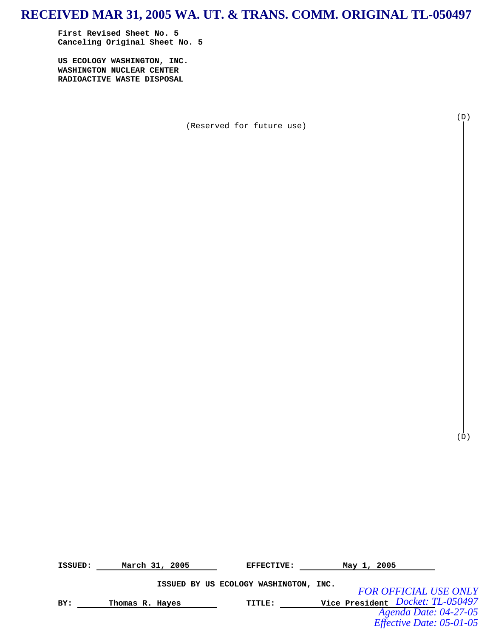## **RECEIVED MAR 31, 2005 WA. UT. & TRANS. COMM. ORIGINAL TL-050497**

**First Revised Sheet No. 5 Canceling Original Sheet No. 5** 

**US ECOLOGY WASHINGTON, INC. WASHINGTON NUCLEAR CENTER RADIOACTIVE WASTE DISPOSAL** 

(Reserved for future use)

(D)

 $(D)$ 

**ISSUED:** March 31, 2005 **EFFECTIVE:** May 1, 2005 **ISSUED BY US ECOLOGY WASHINGTON, INC. BY: Thomas R. Hayes TITLE: Vice President**  *Docket: TL-050497 FOR OFFICIAL USE ONLY Agenda Date: 04-27-05 Effective Date: 05-01-05*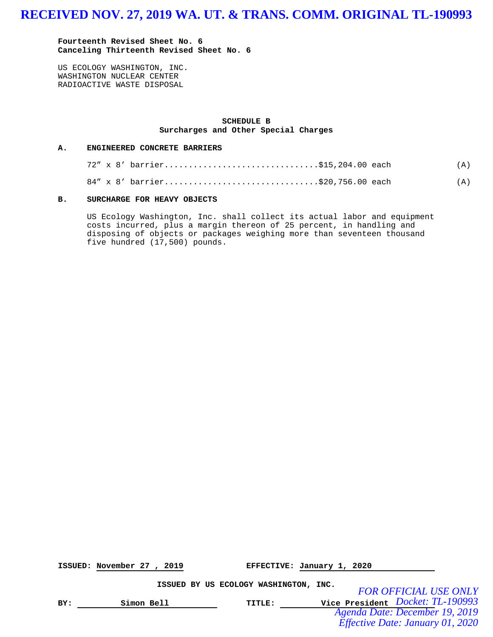**Fourteenth Revised Sheet No. 6 Canceling Thirteenth Revised Sheet No. 6**

US ECOLOGY WASHINGTON, INC. WASHINGTON NUCLEAR CENTER RADIOACTIVE WASTE DISPOSAL

### **SCHEDULE B Surcharges and Other Special Charges**

#### **A. ENGINEERED CONCRETE BARRIERS**

|  | 72" x 8' barrier\$15,204.00 each |  | (A) |
|--|----------------------------------|--|-----|
|  | 84" x 8' barrier\$20,756.00 each |  | (A) |

### **B. SURCHARGE FOR HEAVY OBJECTS**

US Ecology Washington, Inc. shall collect its actual labor and equipment costs incurred, plus a margin thereon of 25 percent, in handling and disposing of objects or packages weighing more than seventeen thousand five hundred (17,500) pounds.

**ISSUED: November 27 , 2019 EFFECTIVE: January 1, 2020**

**ISSUED BY US ECOLOGY WASHINGTON, INC.**

**BY: Simon Bell TITLE: Vice President** *Docket: TL-190993 FOR OFFICIAL USE ONLY Agenda Date: December 19, 2019 Effective Date: January 01, 2020*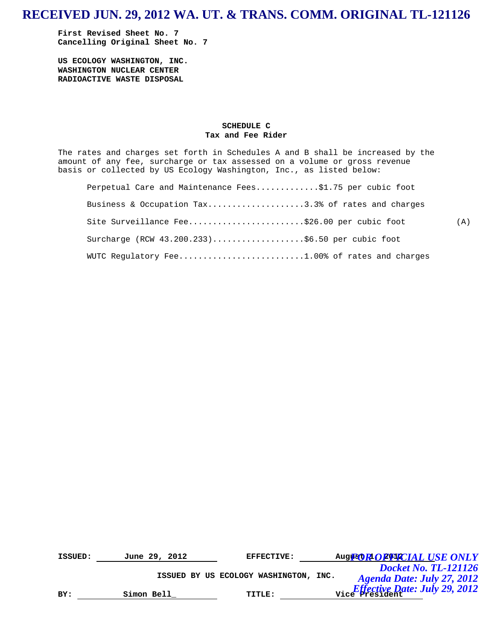**First Revised Sheet No. 7 Cancelling Original Sheet No. 7** 

**US ECOLOGY WASHINGTON, INC. WASHINGTON NUCLEAR CENTER RADIOACTIVE WASTE DISPOSAL** 

### **SCHEDULE C Tax and Fee Rider**

The rates and charges set forth in Schedules A and B shall be increased by the amount of any fee, surcharge or tax assessed on a volume or gross revenue basis or collected by US Ecology Washington, Inc., as listed below:

| Perpetual Care and Maintenance Fees\$1.75 per cubic foot |     |
|----------------------------------------------------------|-----|
| Business & Occupation Tax3.3% of rates and charges       |     |
| Site Surveillance Fee\$26.00 per cubic foot              | (A) |
| Surcharge (RCW 43.200.233)\$6.50 per cubic foot          |     |
| WUTC Regulatory Fee1.00% of rates and charges            |     |

| ISSUED: | June 29, 2012 | <b>EFFECTIVE:</b>                     | Augue OR OF PACIAL USE ONLY                                         |
|---------|---------------|---------------------------------------|---------------------------------------------------------------------|
|         |               |                                       | <b>Docket No. TL-121126</b>                                         |
|         |               | ISSUED BY US ECOLOGY WASHINGTON, INC. | Agenda Date: July 27, 2012                                          |
| BY:     | Simon Bell    | TITLE:                                | $\frac{E_{\text{effective}}}{\text{Vice}}$ President: July 29, 2012 |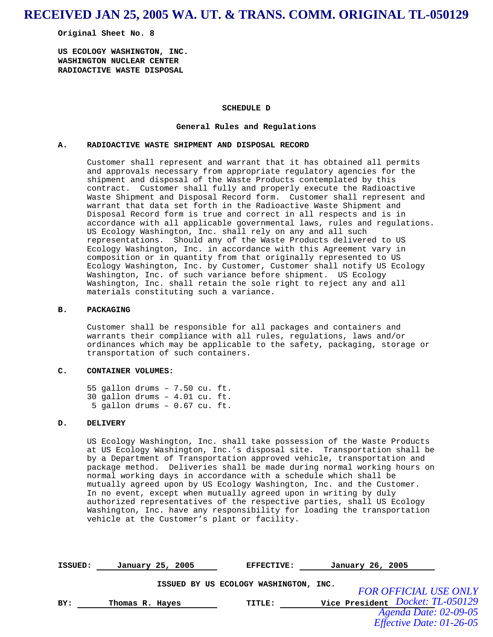## **RECEIVED JAN 25, 2005 WA. UT. & TRANS. COMM. ORIGINAL TL-050129**

**Original Sheet No. 8** 

**US ECOLOGY WASHINGTON, INC. WASHINGTON NUCLEAR CENTER RADIOACTIVE WASTE DISPOSAL** 

### **SCHEDULE D**

#### **General Rules and Regulations**

### **A. RADIOACTIVE WASTE SHIPMENT AND DISPOSAL RECORD**

Customer shall represent and warrant that it has obtained all permits and approvals necessary from appropriate regulatory agencies for the shipment and disposal of the Waste Products contemplated by this contract. Customer shall fully and properly execute the Radioactive Waste Shipment and Disposal Record form. Customer shall represent and warrant that data set forth in the Radioactive Waste Shipment and Disposal Record form is true and correct in all respects and is in accordance with all applicable governmental laws, rules and regulations. US Ecology Washington, Inc. shall rely on any and all such representations. Should any of the Waste Products delivered to US Ecology Washington, Inc. in accordance with this Agreement vary in composition or in quantity from that originally represented to US Ecology Washington, Inc. by Customer, Customer shall notify US Ecology Washington, Inc. of such variance before shipment. US Ecology Washington, Inc. shall retain the sole right to reject any and all materials constituting such a variance.

### **B. PACKAGING**

Customer shall be responsible for all packages and containers and warrants their compliance with all rules, regulations, laws and/or ordinances which may be applicable to the safety, packaging, storage or transportation of such containers.

### **C. CONTAINER VOLUMES:**

55 gallon drums – 7.50 cu. ft. 30 gallon drums – 4.01 cu. ft. 5 gallon drums – 0.67 cu. ft.

### **D. DELIVERY**

US Ecology Washington, Inc. shall take possession of the Waste Products at US Ecology Washington, Inc.'s disposal site. Transportation shall be by a Department of Transportation approved vehicle, transportation and package method. Deliveries shall be made during normal working hours on normal working days in accordance with a schedule which shall be mutually agreed upon by US Ecology Washington, Inc. and the Customer. In no event, except when mutually agreed upon in writing by duly authorized representatives of the respective parties, shall US Ecology Washington, Inc. have any responsibility for loading the transportation vehicle at the Customer's plant or facility.

| ISSUED: |                 | January 25, 2005 | <b>EFFECTIVE:</b>                     | January 26, 2005                 |  |
|---------|-----------------|------------------|---------------------------------------|----------------------------------|--|
|         |                 |                  | ISSUED BY US ECOLOGY WASHINGTON, INC. | <b>FOR OFFICIAL USE ONLY</b>     |  |
| BY:     | Thomas R. Hayes |                  | TITLE:                                | Vice President Docket: TL-050129 |  |
|         |                 |                  |                                       | Agenda Date: 02-09-05            |  |
|         |                 |                  |                                       | Effective Date: 01-26-05         |  |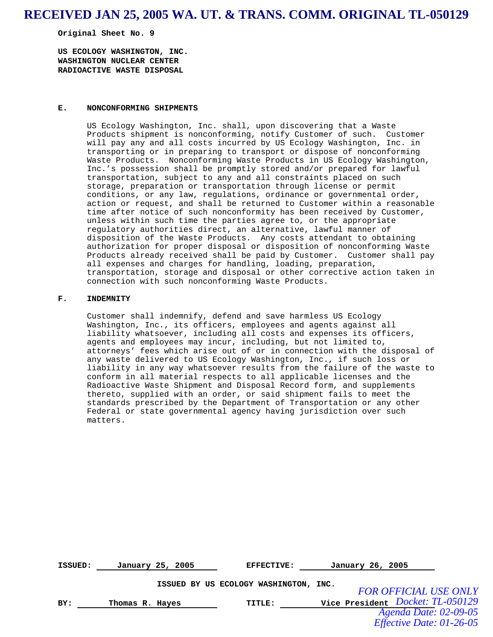## **RECEIVED JAN 25, 2005 WA. UT. & TRANS. COMM. ORIGINAL TL-050129**

**Original Sheet No. 9** 

**US ECOLOGY WASHINGTON, INC. WASHINGTON NUCLEAR CENTER RADIOACTIVE WASTE DISPOSAL** 

### **E. NONCONFORMING SHIPMENTS**

US Ecology Washington, Inc. shall, upon discovering that a Waste Products shipment is nonconforming, notify Customer of such. Customer will pay any and all costs incurred by US Ecology Washington, Inc. in transporting or in preparing to transport or dispose of nonconforming Waste Products. Nonconforming Waste Products in US Ecology Washington, Inc.'s possession shall be promptly stored and/or prepared for lawful transportation, subject to any and all constraints placed on such storage, preparation or transportation through license or permit conditions, or any law, regulations, ordinance or governmental order, action or request, and shall be returned to Customer within a reasonable time after notice of such nonconformity has been received by Customer, unless within such time the parties agree to, or the appropriate regulatory authorities direct, an alternative, lawful manner of disposition of the Waste Products. Any costs attendant to obtaining authorization for proper disposal or disposition of nonconforming Waste Products already received shall be paid by Customer. Customer shall pay all expenses and charges for handling, loading, preparation, transportation, storage and disposal or other corrective action taken in connection with such nonconforming Waste Products.

#### **F. INDEMNITY**

Customer shall indemnify, defend and save harmless US Ecology Washington, Inc., its officers, employees and agents against all liability whatsoever, including all costs and expenses its officers, agents and employees may incur, including, but not limited to, attorneys' fees which arise out of or in connection with the disposal of any waste delivered to US Ecology Washington, Inc., if such loss or liability in any way whatsoever results from the failure of the waste to conform in all material respects to all applicable licenses and the Radioactive Waste Shipment and Disposal Record form, and supplements thereto, supplied with an order, or said shipment fails to meet the standards prescribed by the Department of Transportation or any other Federal or state governmental agency having jurisdiction over such matters.

| ISSUED: |                 | January 25, 2005 | <b>EFFECTIVE:</b>                     | January 26, 2005                        |  |
|---------|-----------------|------------------|---------------------------------------|-----------------------------------------|--|
|         |                 |                  | ISSUED BY US ECOLOGY WASHINGTON, INC. | <b>FOR OFFICIAL USE ONLY</b>            |  |
| BY:     | Thomas R. Hayes |                  | TITLE:                                | Vice President <i>Docket: TL-050129</i> |  |
|         |                 |                  |                                       | Agenda Date: 02-09-05                   |  |
|         |                 |                  |                                       | Effective Date: 01-26-05                |  |